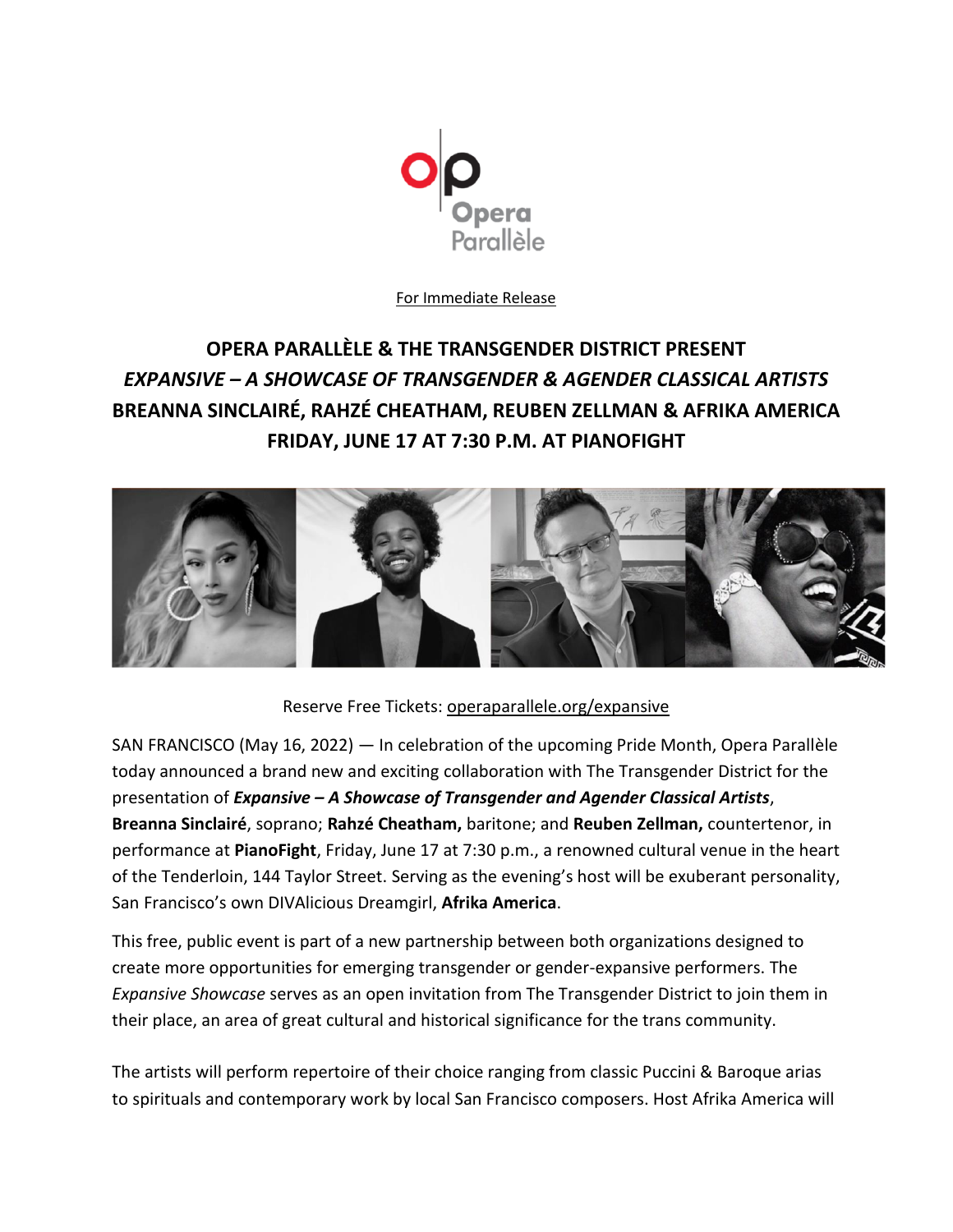

For Immediate Release

## **OPERA PARALLÈLE & THE TRANSGENDER DISTRICT PRESENT** *EXPANSIVE – A SHOWCASE OF TRANSGENDER & AGENDER CLASSICAL ARTISTS* **BREANNA SINCLAIRÉ, RAHZÉ CHEATHAM, REUBEN ZELLMAN & AFRIKA AMERICA FRIDAY, JUNE 17 AT 7:30 P.M. AT PIANOFIGHT**



Reserve Free Tickets: [operaparallele.org/expansive](http://operaparallele.org/expansive)

SAN FRANCISCO (May 16, 2022) — In celebration of the upcoming Pride Month, Opera Parallèle today announced a brand new and exciting collaboration with The Transgender District for the presentation of *Expansive – A Showcase of Transgender and Agender Classical Artists*, **Breanna Sinclairé**, soprano; **Rahzé Cheatham,** baritone; and **Reuben Zellman,** countertenor, in performance at **PianoFight**, Friday, June 17 at 7:30 p.m., a renowned cultural venue in the heart of the Tenderloin, 144 Taylor Street. Serving as the evening's host will be exuberant personality, San Francisco's own DIVAlicious Dreamgirl, **Afrika America**.

This free, public event is part of a new partnership between both organizations designed to create more opportunities for emerging transgender or gender-expansive performers. The *Expansive Showcase* serves as an open invitation from The Transgender District to join them in their place, an area of great cultural and historical significance for the trans community.

The artists will perform repertoire of their choice ranging from classic Puccini & Baroque arias to spirituals and contemporary work by local San Francisco composers. Host Afrika America will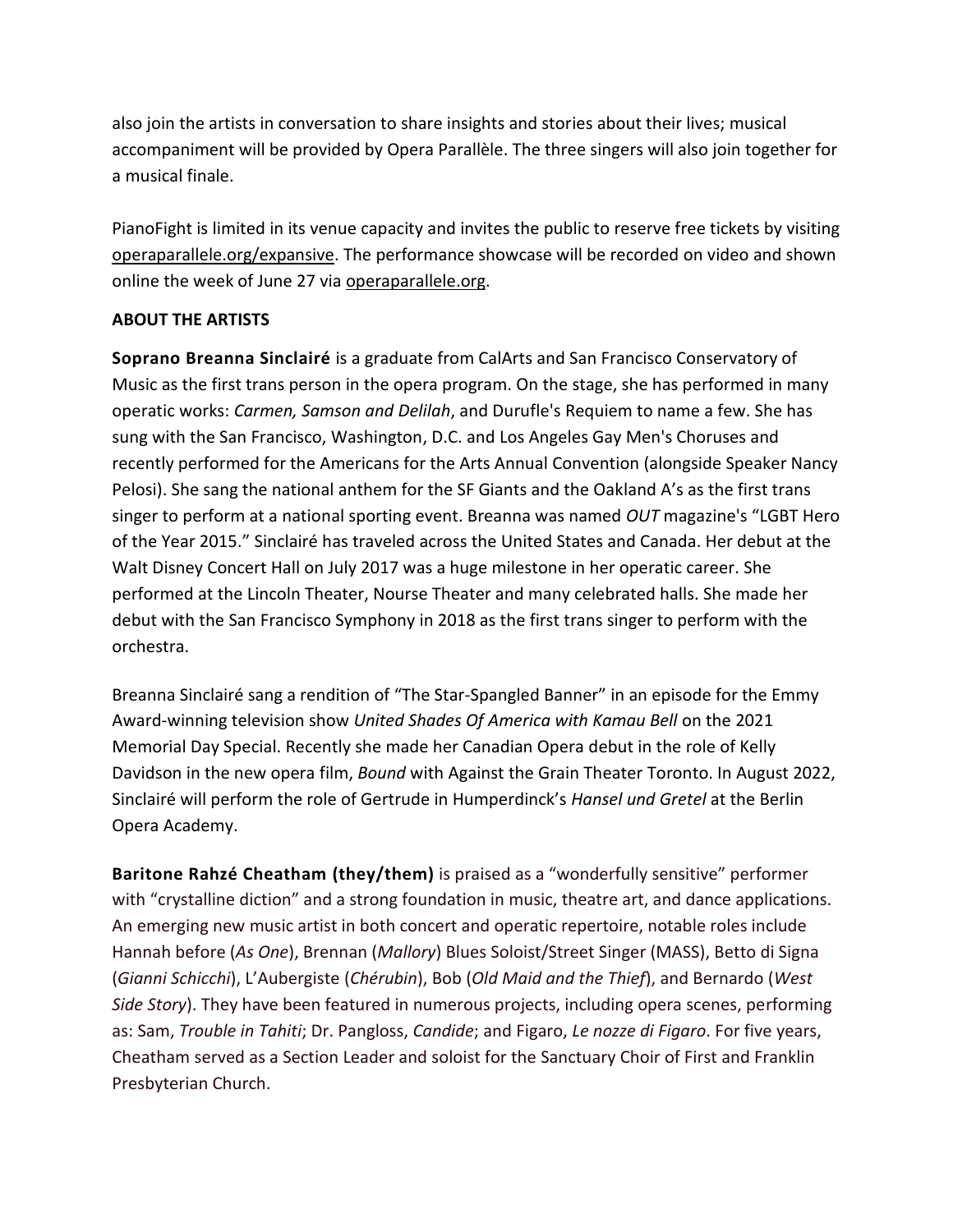also join the artists in conversation to share insights and stories about their lives; musical accompaniment will be provided by Opera Parallèle. The three singers will also join together for a musical finale.

PianoFight is limited in its venue capacity and invites the public to reserve free tickets by visiting [operaparallele.org/expansive.](http://operaparallele.org/expansive) The performance showcase will be recorded on video and shown online the week of June 27 via [operaparallele.org.](http://www.operaparallele.org/)

## **ABOUT THE ARTISTS**

**Soprano Breanna Sinclairé** is a graduate from CalArts and San Francisco Conservatory of Music as the first trans person in the opera program. On the stage, she has performed in many operatic works: *Carmen, Samson and Delilah*, and Durufle's Requiem to name a few. She has sung with the San Francisco, Washington, D.C. and Los Angeles Gay Men's Choruses and recently performed for the Americans for the Arts Annual Convention (alongside Speaker Nancy Pelosi). She sang the national anthem for the SF Giants and the Oakland A's as the first trans singer to perform at a national sporting event. Breanna was named *OUT* magazine's "LGBT Hero of the Year 2015." Sinclairé has traveled across the United States and Canada. Her debut at the Walt Disney Concert Hall on July 2017 was a huge milestone in her operatic career. She performed at the Lincoln Theater, Nourse Theater and many celebrated halls. She made her debut with the San Francisco Symphony in 2018 as the first trans singer to perform with the orchestra.

Breanna Sinclairé sang a rendition of "The Star-Spangled Banner" in an episode for the Emmy Award-winning television show *United Shades Of America with Kamau Bell* on the 2021 Memorial Day Special. Recently she made her Canadian Opera debut in the role of Kelly Davidson in the new opera film, *Bound* with Against the Grain Theater Toronto. In August 2022, Sinclairé will perform the role of Gertrude in Humperdinck's *Hansel und Gretel* at the Berlin Opera Academy.

**Baritone Rahzé Cheatham (they/them)** is praised as a "wonderfully sensitive" performer with "crystalline diction" and a strong foundation in music, theatre art, and dance applications. An emerging new music artist in both concert and operatic repertoire, notable roles include Hannah before (*As One*), Brennan (*Mallory*) Blues Soloist/Street Singer (MASS), Betto di Signa (*Gianni Schicchi*), L'Aubergiste (*Chérubin*), Bob (*Old Maid and the Thief*), and Bernardo (*West Side Story*). They have been featured in numerous projects, including opera scenes, performing as: Sam, *Trouble in Tahiti*; Dr. Pangloss, *Candide*; and Figaro, *Le nozze di Figaro*. For five years, Cheatham served as a Section Leader and soloist for the Sanctuary Choir of First and Franklin Presbyterian Church.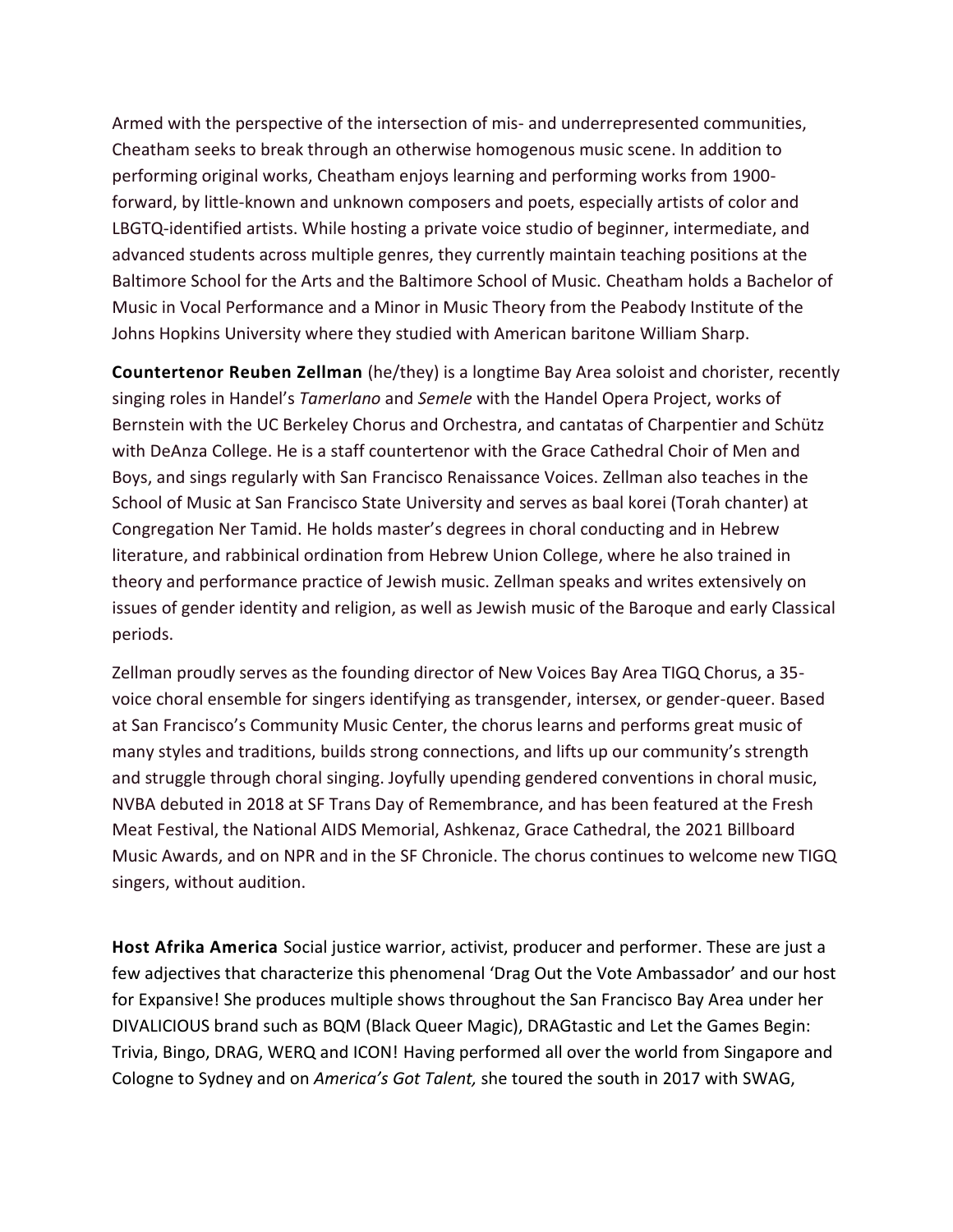Armed with the perspective of the intersection of mis- and underrepresented communities, Cheatham seeks to break through an otherwise homogenous music scene. In addition to performing original works, Cheatham enjoys learning and performing works from 1900 forward, by little-known and unknown composers and poets, especially artists of color and LBGTQ-identified artists. While hosting a private voice studio of beginner, intermediate, and advanced students across multiple genres, they currently maintain teaching positions at the Baltimore School for the Arts and the Baltimore School of Music. Cheatham holds a Bachelor of Music in Vocal Performance and a Minor in Music Theory from the Peabody Institute of the Johns Hopkins University where they studied with American baritone William Sharp.

**Countertenor Reuben Zellman** (he/they) is a longtime Bay Area soloist and chorister, recently singing roles in Handel's *Tamerlano* and *Semele* with the Handel Opera Project, works of Bernstein with the UC Berkeley Chorus and Orchestra, and cantatas of Charpentier and Schütz with DeAnza College. He is a staff countertenor with the Grace Cathedral Choir of Men and Boys, and sings regularly with San Francisco Renaissance Voices. Zellman also teaches in the School of Music at San Francisco State University and serves as baal korei (Torah chanter) at Congregation Ner Tamid. He holds master's degrees in choral conducting and in Hebrew literature, and rabbinical ordination from Hebrew Union College, where he also trained in theory and performance practice of Jewish music. Zellman speaks and writes extensively on issues of gender identity and religion, as well as Jewish music of the Baroque and early Classical periods.

Zellman proudly serves as the founding director of New Voices Bay Area TIGQ Chorus, a 35 voice choral ensemble for singers identifying as transgender, intersex, or gender-queer. Based at San Francisco's Community Music Center, the chorus learns and performs great music of many styles and traditions, builds strong connections, and lifts up our community's strength and struggle through choral singing. Joyfully upending gendered conventions in choral music, NVBA debuted in 2018 at SF Trans Day of Remembrance, and has been featured at the Fresh Meat Festival, the National AIDS Memorial, Ashkenaz, Grace Cathedral, the 2021 Billboard Music Awards, and on NPR and in the SF Chronicle. The chorus continues to welcome new TIGQ singers, without audition.

**Host Afrika America** Social justice warrior, activist, producer and performer. These are just a few adjectives that characterize this phenomenal 'Drag Out the Vote Ambassador' and our host for Expansive! She produces multiple shows throughout the San Francisco Bay Area under her DIVALICIOUS brand such as BQM (Black Queer Magic), DRAGtastic and Let the Games Begin: Trivia, Bingo, DRAG, WERQ and ICON! Having performed all over the world from Singapore and Cologne to Sydney and on *America's Got Talent,* she toured the south in 2017 with SWAG,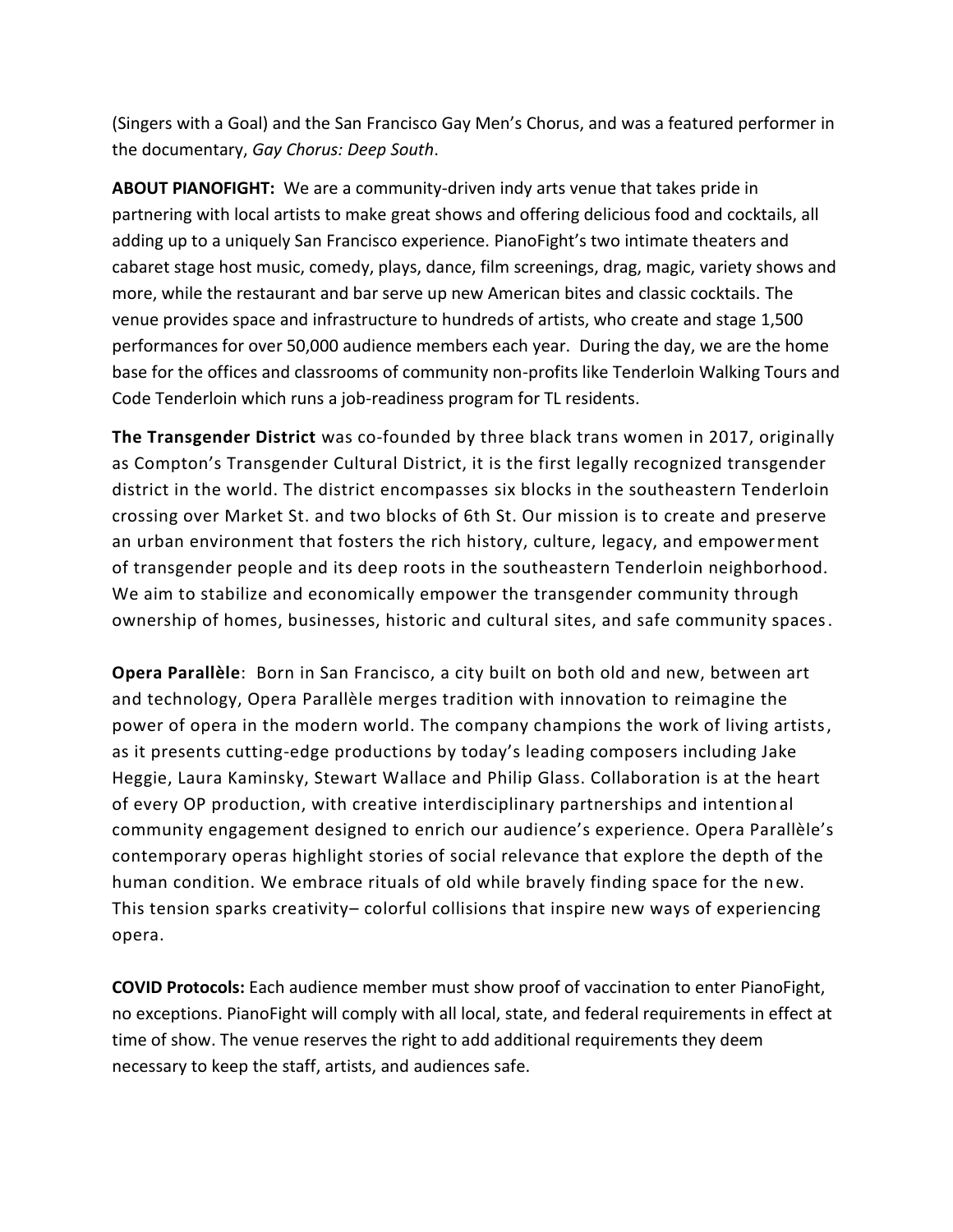(Singers with a Goal) and the San Francisco Gay Men's Chorus, and was a featured performer in the documentary, *Gay Chorus: Deep South*.

**ABOUT PIANOFIGHT:** We are a community-driven indy arts venue that takes pride in partnering with local artists to make great shows and offering delicious food and cocktails, all adding up to a uniquely San Francisco experience. PianoFight's two intimate theaters and cabaret stage host music, comedy, plays, dance, film screenings, drag, magic, variety shows and more, while the restaurant and bar serve up new American bites and classic cocktails. The venue provides space and infrastructure to hundreds of artists, who create and stage 1,500 performances for over 50,000 audience members each year. During the day, we are the home base for the offices and classrooms of community non-profits like Tenderloin Walking Tours and Code Tenderloin which runs a job-readiness program for TL residents.

**The Transgender District** was co-founded by three black trans women in 2017, originally as Compton's Transgender Cultural District, it is the first legally recognized transgender district in the world. The district encompasses six blocks in the southeastern Tenderloin crossing over Market St. and two blocks of 6th St. Our mission is to create and preserve an urban environment that fosters the rich history, culture, legacy, and empowerment of transgender people and its deep roots in the southeastern Tenderloin neighborhood. We aim to stabilize and economically empower the transgender community through ownership of homes, businesses, historic and cultural sites, and safe community spaces.

**Opera Parallèle**: Born in San Francisco, a city built on both old and new, between art and technology, Opera Parallèle merges tradition with innovation to reimagine the power of opera in the modern world. The company champions the work of living artists, as it presents cutting-edge productions by today's leading composers including Jake Heggie, Laura Kaminsky, Stewart Wallace and Philip Glass. Collaboration is at the heart of every OP production, with creative interdisciplinary partnerships and intentional community engagement designed to enrich our audience's experience. Opera Parallèle's contemporary operas highlight stories of social relevance that explore the depth of the human condition. We embrace rituals of old while bravely finding space for the new. This tension sparks creativity– colorful collisions that inspire new ways of experiencing opera.

**COVID Protocols:** Each audience member must show proof of vaccination to enter PianoFight, no exceptions. PianoFight will comply with all local, state, and federal requirements in effect at time of show. The venue reserves the right to add additional requirements they deem necessary to keep the staff, artists, and audiences safe.